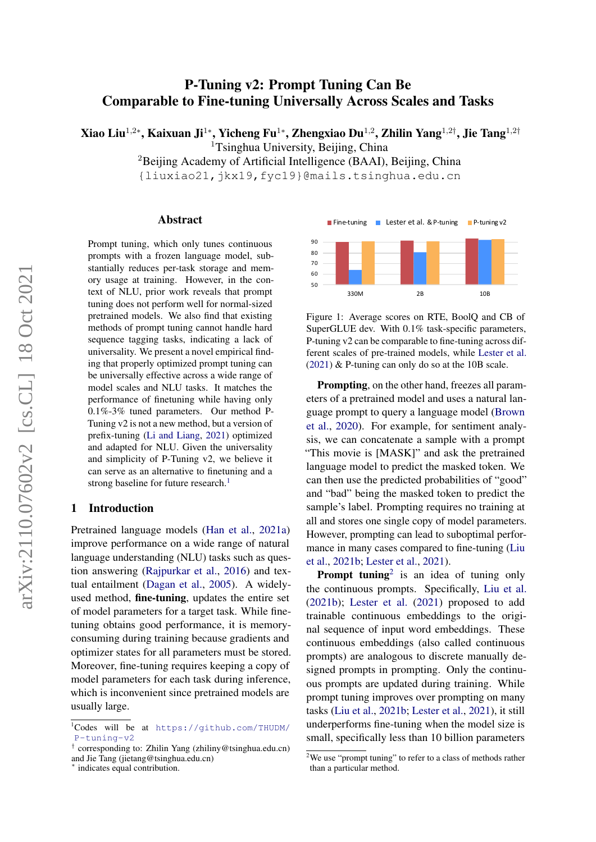# P-Tuning v2: Prompt Tuning Can Be Comparable to Fine-tuning Universally Across Scales and Tasks

Xiao Liu $^{1,2*}$ , Kaixuan Ji $^{1*}$ , Yicheng Fu $^{1*}$ , Zhengxiao Du $^{1,2}$ , Zhilin Yang $^{1,2\dagger}$ , Jie Tang $^{1,2\dagger}$ 

<sup>1</sup>Tsinghua University, Beijing, China

<sup>2</sup>Beijing Academy of Artificial Intelligence (BAAI), Beijing, China

{liuxiao21,jkx19,fyc19}@mails.tsinghua.edu.cn

#### Abstract

Prompt tuning, which only tunes continuous prompts with a frozen language model, substantially reduces per-task storage and memory usage at training. However, in the context of NLU, prior work reveals that prompt tuning does not perform well for normal-sized pretrained models. We also find that existing methods of prompt tuning cannot handle hard sequence tagging tasks, indicating a lack of universality. We present a novel empirical finding that properly optimized prompt tuning can be universally effective across a wide range of model scales and NLU tasks. It matches the performance of finetuning while having only 0.1%-3% tuned parameters. Our method P-Tuning v2 is not a new method, but a version of prefix-tuning [\(Li and Liang,](#page-8-0) [2021\)](#page-8-0) optimized and adapted for NLU. Given the universality and simplicity of P-Tuning v2, we believe it can serve as an alternative to finetuning and a strong baseline for future research.<sup>1</sup>

### 1 Introduction

Pretrained language models [\(Han et al.,](#page-8-1) [2021a\)](#page-8-1) improve performance on a wide range of natural language understanding (NLU) tasks such as question answering [\(Rajpurkar et al.,](#page-9-0) [2016\)](#page-9-0) and textual entailment [\(Dagan et al.,](#page-8-2) [2005\)](#page-8-2). A widelyused method, fine-tuning, updates the entire set of model parameters for a target task. While finetuning obtains good performance, it is memoryconsuming during training because gradients and optimizer states for all parameters must be stored. Moreover, fine-tuning requires keeping a copy of model parameters for each task during inference, which is inconvenient since pretrained models are usually large.



Figure 1: Average scores on RTE, BoolQ and CB of SuperGLUE dev. With 0.1% task-specific parameters, P-tuning v2 can be comparable to fine-tuning across different scales of pre-trained models, while [Lester et al.](#page-8-3)  $(2021)$  & P-tuning can only do so at the 10B scale.

Prompting, on the other hand, freezes all parameters of a pretrained model and uses a natural language prompt to query a language model [\(Brown](#page-7-0) [et al.,](#page-7-0) [2020\)](#page-7-0). For example, for sentiment analysis, we can concatenate a sample with a prompt "This movie is [MASK]" and ask the pretrained language model to predict the masked token. We can then use the predicted probabilities of "good" and "bad" being the masked token to predict the sample's label. Prompting requires no training at all and stores one single copy of model parameters. However, prompting can lead to suboptimal performance in many cases compared to fine-tuning [\(Liu](#page-8-4) [et al.,](#page-8-4) [2021b;](#page-8-4) [Lester et al.,](#page-8-3) [2021\)](#page-8-3).

**Prompt tuning**<sup>2</sup> is an idea of tuning only the continuous prompts. Specifically, [Liu et al.](#page-8-4) [\(2021b\)](#page-8-4); [Lester et al.](#page-8-3) [\(2021\)](#page-8-3) proposed to add trainable continuous embeddings to the original sequence of input word embeddings. These continuous embeddings (also called continuous prompts) are analogous to discrete manually designed prompts in prompting. Only the continuous prompts are updated during training. While prompt tuning improves over prompting on many tasks [\(Liu et al.,](#page-8-4) [2021b;](#page-8-4) [Lester et al.,](#page-8-3) [2021\)](#page-8-3), it still underperforms fine-tuning when the model size is small, specifically less than 10 billion parameters

<sup>1</sup>Codes will be at [https://github.com/THUDM/](https://github.com/THUDM/P-tuning-v2) [P-tuning-v2](https://github.com/THUDM/P-tuning-v2)

<sup>†</sup> corresponding to: Zhilin Yang (zhiliny@tsinghua.edu.cn) and Jie Tang (jietang@tsinghua.edu.cn) ∗

indicates equal contribution.

<sup>&</sup>lt;sup>2</sup>We use "prompt tuning" to refer to a class of methods rather than a particular method.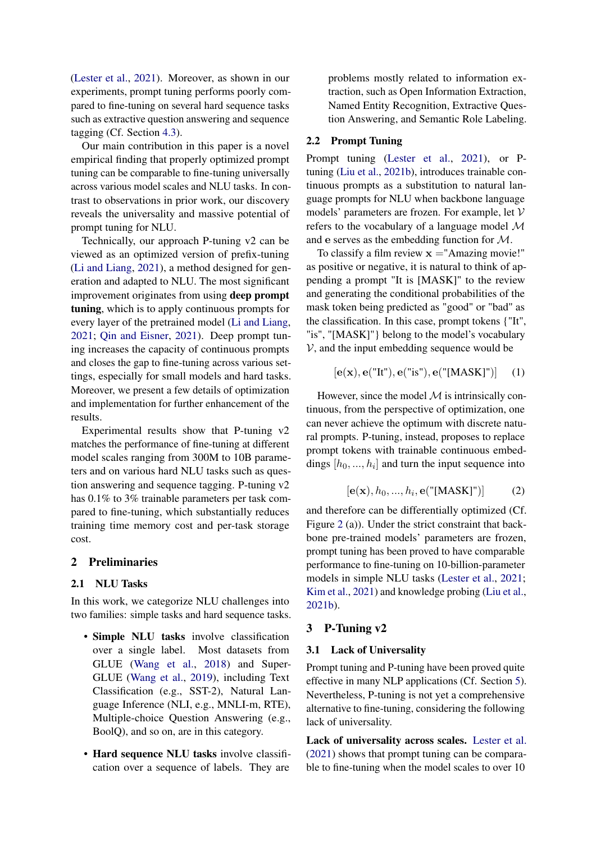[\(Lester et al.,](#page-8-3) [2021\)](#page-8-3). Moreover, as shown in our experiments, prompt tuning performs poorly compared to fine-tuning on several hard sequence tasks such as extractive question answering and sequence tagging (Cf. Section [4.3\)](#page-4-0).

Our main contribution in this paper is a novel empirical finding that properly optimized prompt tuning can be comparable to fine-tuning universally across various model scales and NLU tasks. In contrast to observations in prior work, our discovery reveals the universality and massive potential of prompt tuning for NLU.

Technically, our approach P-tuning v2 can be viewed as an optimized version of prefix-tuning [\(Li and Liang,](#page-8-0) [2021\)](#page-8-0), a method designed for generation and adapted to NLU. The most significant improvement originates from using deep prompt tuning, which is to apply continuous prompts for every layer of the pretrained model [\(Li and Liang,](#page-8-0) [2021;](#page-8-0) [Qin and Eisner,](#page-9-1) [2021\)](#page-9-1). Deep prompt tuning increases the capacity of continuous prompts and closes the gap to fine-tuning across various settings, especially for small models and hard tasks. Moreover, we present a few details of optimization and implementation for further enhancement of the results.

Experimental results show that P-tuning v2 matches the performance of fine-tuning at different model scales ranging from 300M to 10B parameters and on various hard NLU tasks such as question answering and sequence tagging. P-tuning v2 has 0.1% to 3% trainable parameters per task compared to fine-tuning, which substantially reduces training time memory cost and per-task storage cost.

# 2 Preliminaries

#### 2.1 NLU Tasks

In this work, we categorize NLU challenges into two families: simple tasks and hard sequence tasks.

- Simple NLU tasks involve classification over a single label. Most datasets from GLUE [\(Wang et al.,](#page-9-2) [2018\)](#page-9-2) and Super-GLUE [\(Wang et al.,](#page-9-3) [2019\)](#page-9-3), including Text Classification (e.g., SST-2), Natural Language Inference (NLI, e.g., MNLI-m, RTE), Multiple-choice Question Answering (e.g., BoolQ), and so on, are in this category.
- Hard sequence NLU tasks involve classification over a sequence of labels. They are

problems mostly related to information extraction, such as Open Information Extraction, Named Entity Recognition, Extractive Question Answering, and Semantic Role Labeling.

#### 2.2 Prompt Tuning

Prompt tuning [\(Lester et al.,](#page-8-3) [2021\)](#page-8-3), or Ptuning [\(Liu et al.,](#page-8-4) [2021b\)](#page-8-4), introduces trainable continuous prompts as a substitution to natural language prompts for NLU when backbone language models' parameters are frozen. For example, let V refers to the vocabulary of a language model M and e serves as the embedding function for M.

To classify a film review  $x =$ "Amazing movie!" as positive or negative, it is natural to think of appending a prompt "It is [MASK]" to the review and generating the conditional probabilities of the mask token being predicted as "good" or "bad" as the classification. In this case, prompt tokens {"It", "is", "[MASK]"} belong to the model's vocabulary  $V$ , and the input embedding sequence would be

$$
[\mathbf{e}(\mathbf{x}), \mathbf{e}(\text{"It"),} \mathbf{e}(\text{"is"),} \mathbf{e}(\text{"[MASK]"))}] \quad (1)
$$

However, since the model  $M$  is intrinsically continuous, from the perspective of optimization, one can never achieve the optimum with discrete natural prompts. P-tuning, instead, proposes to replace prompt tokens with trainable continuous embeddings  $[h_0, ..., h_i]$  and turn the input sequence into

$$
[\mathbf{e}(\mathbf{x}), h_0, ..., h_i, \mathbf{e}("[MASK]")]
$$
 (2)

and therefore can be differentially optimized (Cf. Figure [2](#page-2-0) (a)). Under the strict constraint that backbone pre-trained models' parameters are frozen, prompt tuning has been proved to have comparable performance to fine-tuning on 10-billion-parameter models in simple NLU tasks [\(Lester et al.,](#page-8-3) [2021;](#page-8-3) [Kim et al.,](#page-8-5) [2021\)](#page-8-5) and knowledge probing [\(Liu et al.,](#page-8-4) [2021b\)](#page-8-4).

## 3 P-Tuning v2

#### 3.1 Lack of Universality

Prompt tuning and P-tuning have been proved quite effective in many NLP applications (Cf. Section [5\)](#page-7-1). Nevertheless, P-tuning is not yet a comprehensive alternative to fine-tuning, considering the following lack of universality.

Lack of universality across scales. [Lester et al.](#page-8-3) [\(2021\)](#page-8-3) shows that prompt tuning can be comparable to fine-tuning when the model scales to over 10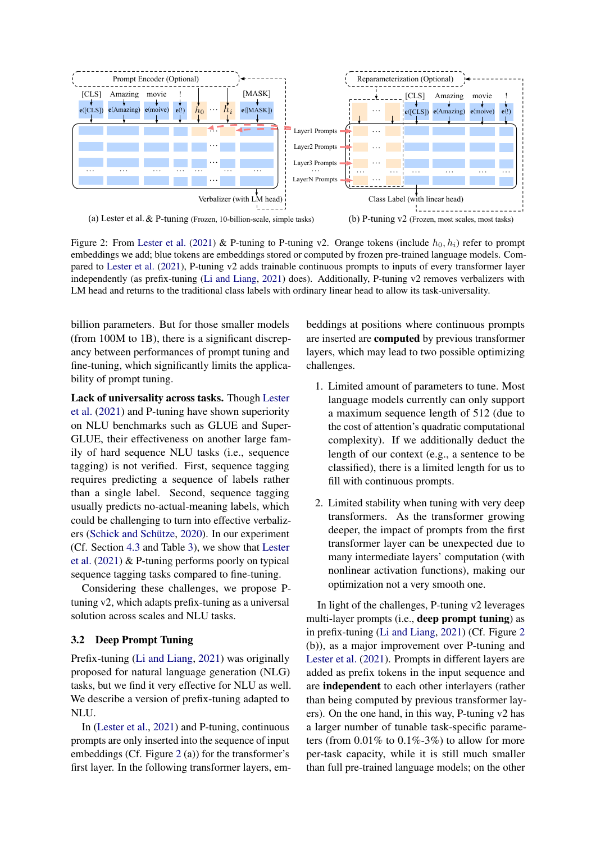<span id="page-2-0"></span>

Figure 2: From [Lester et al.](#page-8-3) [\(2021\)](#page-8-3) & P-tuning to P-tuning v2. Orange tokens (include  $h_0, h_i$ ) refer to prompt embeddings we add; blue tokens are embeddings stored or computed by frozen pre-trained language models. Compared to [Lester et al.](#page-8-3) [\(2021\)](#page-8-3), P-tuning v2 adds trainable continuous prompts to inputs of every transformer layer independently (as prefix-tuning [\(Li and Liang,](#page-8-0) [2021\)](#page-8-0) does). Additionally, P-tuning v2 removes verbalizers with LM head and returns to the traditional class labels with ordinary linear head to allow its task-universality.

billion parameters. But for those smaller models (from 100M to 1B), there is a significant discrepancy between performances of prompt tuning and fine-tuning, which significantly limits the applicability of prompt tuning.

Lack of universality across tasks. Though [Lester](#page-8-3) [et al.](#page-8-3) [\(2021\)](#page-8-3) and P-tuning have shown superiority on NLU benchmarks such as GLUE and Super-GLUE, their effectiveness on another large family of hard sequence NLU tasks (i.e., sequence tagging) is not verified. First, sequence tagging requires predicting a sequence of labels rather than a single label. Second, sequence tagging usually predicts no-actual-meaning labels, which could be challenging to turn into effective verbalizers [\(Schick and Schütze,](#page-9-4) [2020\)](#page-9-4). In our experiment (Cf. Section [4.3](#page-4-0) and Table [3\)](#page-5-0), we show that [Lester](#page-8-3) [et al.](#page-8-3) [\(2021\)](#page-8-3) & P-tuning performs poorly on typical sequence tagging tasks compared to fine-tuning.

Considering these challenges, we propose Ptuning v2, which adapts prefix-tuning as a universal solution across scales and NLU tasks.

## 3.2 Deep Prompt Tuning

Prefix-tuning [\(Li and Liang,](#page-8-0) [2021\)](#page-8-0) was originally proposed for natural language generation (NLG) tasks, but we find it very effective for NLU as well. We describe a version of prefix-tuning adapted to NLU.

In [\(Lester et al.,](#page-8-3) [2021\)](#page-8-3) and P-tuning, continuous prompts are only inserted into the sequence of input embeddings (Cf. Figure [2](#page-2-0) (a)) for the transformer's first layer. In the following transformer layers, embeddings at positions where continuous prompts are inserted are computed by previous transformer layers, which may lead to two possible optimizing challenges.

- 1. Limited amount of parameters to tune. Most language models currently can only support a maximum sequence length of 512 (due to the cost of attention's quadratic computational complexity). If we additionally deduct the length of our context (e.g., a sentence to be classified), there is a limited length for us to fill with continuous prompts.
- 2. Limited stability when tuning with very deep transformers. As the transformer growing deeper, the impact of prompts from the first transformer layer can be unexpected due to many intermediate layers' computation (with nonlinear activation functions), making our optimization not a very smooth one.

In light of the challenges, P-tuning v2 leverages multi-layer prompts (i.e., deep prompt tuning) as in prefix-tuning [\(Li and Liang,](#page-8-0) [2021\)](#page-8-0) (Cf. Figure [2](#page-2-0) (b)), as a major improvement over P-tuning and [Lester et al.](#page-8-3) [\(2021\)](#page-8-3). Prompts in different layers are added as prefix tokens in the input sequence and are independent to each other interlayers (rather than being computed by previous transformer layers). On the one hand, in this way, P-tuning v2 has a larger number of tunable task-specific parameters (from  $0.01\%$  to  $0.1\%$ -3%) to allow for more per-task capacity, while it is still much smaller than full pre-trained language models; on the other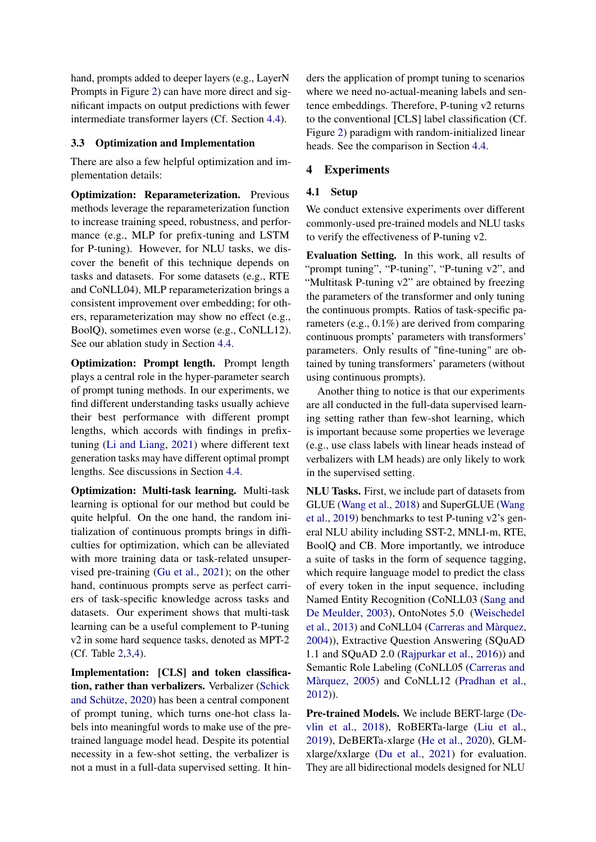hand, prompts added to deeper layers (e.g., LayerN Prompts in Figure [2\)](#page-2-0) can have more direct and significant impacts on output predictions with fewer intermediate transformer layers (Cf. Section [4.4\)](#page-6-0).

## 3.3 Optimization and Implementation

There are also a few helpful optimization and implementation details:

Optimization: Reparameterization. Previous methods leverage the reparameterization function to increase training speed, robustness, and performance (e.g., MLP for prefix-tuning and LSTM for P-tuning). However, for NLU tasks, we discover the benefit of this technique depends on tasks and datasets. For some datasets (e.g., RTE and CoNLL04), MLP reparameterization brings a consistent improvement over embedding; for others, reparameterization may show no effect (e.g., BoolQ), sometimes even worse (e.g., CoNLL12). See our ablation study in Section [4.4.](#page-6-0)

Optimization: Prompt length. Prompt length plays a central role in the hyper-parameter search of prompt tuning methods. In our experiments, we find different understanding tasks usually achieve their best performance with different prompt lengths, which accords with findings in prefixtuning [\(Li and Liang,](#page-8-0) [2021\)](#page-8-0) where different text generation tasks may have different optimal prompt lengths. See discussions in Section [4.4.](#page-6-0)

Optimization: Multi-task learning. Multi-task learning is optional for our method but could be quite helpful. On the one hand, the random initialization of continuous prompts brings in difficulties for optimization, which can be alleviated with more training data or task-related unsupervised pre-training [\(Gu et al.,](#page-8-6) [2021\)](#page-8-6); on the other hand, continuous prompts serve as perfect carriers of task-specific knowledge across tasks and datasets. Our experiment shows that multi-task learning can be a useful complement to P-tuning v2 in some hard sequence tasks, denoted as MPT-2 (Cf. Table [2](#page-4-1)[,3](#page-5-0)[,4\)](#page-5-1).

Implementation: [CLS] and token classifica-tion, rather than verbalizers. Verbalizer [\(Schick](#page-9-4) [and Schütze,](#page-9-4) [2020\)](#page-9-4) has been a central component of prompt tuning, which turns one-hot class labels into meaningful words to make use of the pretrained language model head. Despite its potential necessity in a few-shot setting, the verbalizer is not a must in a full-data supervised setting. It hinders the application of prompt tuning to scenarios where we need no-actual-meaning labels and sentence embeddings. Therefore, P-tuning v2 returns to the conventional [CLS] label classification (Cf. Figure [2\)](#page-2-0) paradigm with random-initialized linear heads. See the comparison in Section [4.4.](#page-6-0)

# 4 Experiments

# 4.1 Setup

We conduct extensive experiments over different commonly-used pre-trained models and NLU tasks to verify the effectiveness of P-tuning v2.

Evaluation Setting. In this work, all results of "prompt tuning", "P-tuning", "P-tuning v2", and "Multitask P-tuning v2" are obtained by freezing the parameters of the transformer and only tuning the continuous prompts. Ratios of task-specific parameters (e.g., 0.1%) are derived from comparing continuous prompts' parameters with transformers' parameters. Only results of "fine-tuning" are obtained by tuning transformers' parameters (without using continuous prompts).

Another thing to notice is that our experiments are all conducted in the full-data supervised learning setting rather than few-shot learning, which is important because some properties we leverage (e.g., use class labels with linear heads instead of verbalizers with LM heads) are only likely to work in the supervised setting.

NLU Tasks. First, we include part of datasets from GLUE [\(Wang et al.,](#page-9-2) [2018\)](#page-9-2) and SuperGLUE [\(Wang](#page-9-5) [et al.,](#page-9-5) [2019\)](#page-9-5) benchmarks to test P-tuning v2's general NLU ability including SST-2, MNLI-m, RTE, BoolQ and CB. More importantly, we introduce a suite of tasks in the form of sequence tagging, which require language model to predict the class of every token in the input sequence, including Named Entity Recognition (CoNLL03 [\(Sang and](#page-9-6) [De Meulder,](#page-9-6) [2003\)](#page-9-6), OntoNotes 5.0 [\(Weischedel](#page-9-7) [et al.,](#page-9-7) [2013\)](#page-9-7) and CoNLL04 [\(Carreras and Màrquez,](#page-7-2) [2004\)](#page-7-2)), Extractive Question Answering (SQuAD 1.1 and SQuAD 2.0 [\(Rajpurkar et al.,](#page-9-0) [2016\)](#page-9-0)) and Semantic Role Labeling (CoNLL05 [\(Carreras and](#page-7-3) [Màrquez,](#page-7-3) [2005\)](#page-7-3) and CoNLL12 [\(Pradhan et al.,](#page-8-7) [2012\)](#page-8-7)).

Pre-trained Models. We include BERT-large [\(De](#page-8-8)[vlin et al.,](#page-8-8) [2018\)](#page-8-8), RoBERTa-large [\(Liu et al.,](#page-8-9) [2019\)](#page-8-9), DeBERTa-xlarge [\(He et al.,](#page-8-10) [2020\)](#page-8-10), GLMxlarge/xxlarge [\(Du et al.,](#page-8-11) [2021\)](#page-8-11) for evaluation. They are all bidirectional models designed for NLU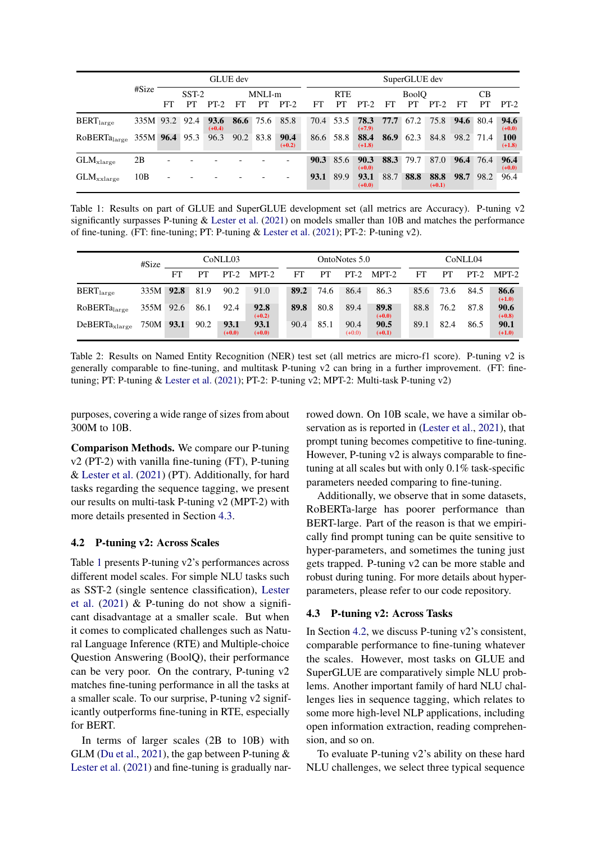<span id="page-4-2"></span>

|                          | #Size          | <b>GLUE</b> dev |         |                  |        |           |                  |      | SuperGLUE dev |                  |              |           |                  |      |                  |                        |  |
|--------------------------|----------------|-----------------|---------|------------------|--------|-----------|------------------|------|---------------|------------------|--------------|-----------|------------------|------|------------------|------------------------|--|
|                          |                |                 | $SST-2$ |                  | MNLI-m |           |                  |      | <b>RTE</b>    |                  | <b>BoolO</b> |           |                  | CВ   |                  |                        |  |
|                          |                | FT.             | PТ      | $PT-2$           | FT     | PT.       | $PT-2$           | FT   | PТ            | $PT-2$           | FT           | PT        | $PT-2$           | FT   | PТ               | $PT-2$                 |  |
| $BERT_{large}$           | 335M 93.2 92.4 |                 |         | 93.6<br>$(+0.4)$ |        |           | 86.6 75.6 85.8   |      | 70.4 53.5     | 78.3<br>$(+7.9)$ |              | 77.7 67.2 | 75.8             |      | <b>94.6</b> 80.4 | 94.6<br>$(+0.0)$       |  |
| RoBERTa <sub>large</sub> | 355M 96.4 95.3 |                 |         | 96.3             |        | 90.2 83.8 | 90.4<br>$(+0.2)$ | 86.6 | 58.8          | 88.4<br>$(+1.8)$ | 86.9         | 62.3      | 84.8             | 98.2 | - 71.4           | <b>100</b><br>$(+1.8)$ |  |
| $GLM_{\text{xlarge}}$    | 2B             |                 |         |                  |        |           |                  | 90.3 | 85.6          | 90.3<br>$(+0.0)$ | 88.3         | $-79.7$   | 87.0             | 96.4 | 76.4             | 96.4<br>$(+0.0)$       |  |
| $GLM_{\rm xxlarge}$      | 10B            |                 |         |                  |        |           |                  | 93.1 | 89.9          | 93.1<br>$(+0.0)$ | 88.7         | 88.8      | 88.8<br>$(+0.1)$ | 98.7 | 98.2             | 96.4                   |  |

Table 1: Results on part of GLUE and SuperGLUE development set (all metrics are Accuracy). P-tuning v2 significantly surpasses P-tuning & [Lester et al.](#page-8-3) [\(2021\)](#page-8-3) on models smaller than 10B and matches the performance of fine-tuning. (FT: fine-tuning; PT: P-tuning & [Lester et al.](#page-8-3) [\(2021\)](#page-8-3); PT-2: P-tuning v2).

<span id="page-4-1"></span>

|                          | #Size     |    |      | CoNLL03          |                  |      |      | OntoNotes 5.0    |                  | CoNLL04 |      |        |                  |  |
|--------------------------|-----------|----|------|------------------|------------------|------|------|------------------|------------------|---------|------|--------|------------------|--|
|                          |           | FT | PТ   | $PT-2$           | MPT-2            | FT   | PТ   | $PT-2$           | MPT-2            | FT      | PT   | $PT-2$ | $MPT-2$          |  |
| $BERT_{large}$           | 335M 92.8 |    | 81.9 | 90.2             | 91.0             | 89.2 | 74.6 | 86.4             | 86.3             | 85.6    | 73.6 | 84.5   | 86.6<br>$(+1.0)$ |  |
| RoBERTa <sub>large</sub> | 355M 92.6 |    | 86.1 | 92.4             | 92.8<br>$(+0.2)$ | 89.8 | 80.8 | 89.4             | 89.8<br>$(+0.0)$ | 88.8    | 76.2 | 87.8   | 90.6<br>$(+0.8)$ |  |
| $DeBERTa_{xlarge}$       | 750M 93.1 |    | 90.2 | 93.1<br>$(+0.0)$ | 93.1<br>$(+0.0)$ | 90.4 | 85.1 | 90.4<br>$(+0.0)$ | 90.5<br>$(+0.1)$ | 89.1    | 82.4 | 86.5   | 90.1<br>$(+1.0)$ |  |

Table 2: Results on Named Entity Recognition (NER) test set (all metrics are micro-f1 score). P-tuning v2 is generally comparable to fine-tuning, and multitask P-tuning v2 can bring in a further improvement. (FT: finetuning; PT: P-tuning & [Lester et al.](#page-8-3) [\(2021\)](#page-8-3); PT-2: P-tuning v2; MPT-2: Multi-task P-tuning v2)

purposes, covering a wide range of sizes from about 300M to 10B.

Comparison Methods. We compare our P-tuning v2 (PT-2) with vanilla fine-tuning (FT), P-tuning & [Lester et al.](#page-8-3) [\(2021\)](#page-8-3) (PT). Additionally, for hard tasks regarding the sequence tagging, we present our results on multi-task P-tuning v2 (MPT-2) with more details presented in Section [4.3.](#page-4-0)

## <span id="page-4-3"></span>4.2 P-tuning v2: Across Scales

Table [1](#page-4-2) presents P-tuning v2's performances across different model scales. For simple NLU tasks such as SST-2 (single sentence classification), [Lester](#page-8-3) [et al.](#page-8-3) [\(2021\)](#page-8-3) & P-tuning do not show a significant disadvantage at a smaller scale. But when it comes to complicated challenges such as Natural Language Inference (RTE) and Multiple-choice Question Answering (BoolQ), their performance can be very poor. On the contrary, P-tuning v2 matches fine-tuning performance in all the tasks at a smaller scale. To our surprise, P-tuning v2 significantly outperforms fine-tuning in RTE, especially for BERT.

In terms of larger scales (2B to 10B) with GLM [\(Du et al.,](#page-8-11) [2021\)](#page-8-11), the gap between P-tuning  $\&$ [Lester et al.](#page-8-3) [\(2021\)](#page-8-3) and fine-tuning is gradually narrowed down. On 10B scale, we have a similar observation as is reported in [\(Lester et al.,](#page-8-3) [2021\)](#page-8-3), that prompt tuning becomes competitive to fine-tuning. However, P-tuning v2 is always comparable to finetuning at all scales but with only 0.1% task-specific parameters needed comparing to fine-tuning.

Additionally, we observe that in some datasets, RoBERTa-large has poorer performance than BERT-large. Part of the reason is that we empirically find prompt tuning can be quite sensitive to hyper-parameters, and sometimes the tuning just gets trapped. P-tuning v2 can be more stable and robust during tuning. For more details about hyperparameters, please refer to our code repository.

#### <span id="page-4-0"></span>4.3 P-tuning v2: Across Tasks

In Section [4.2,](#page-4-3) we discuss P-tuning v2's consistent, comparable performance to fine-tuning whatever the scales. However, most tasks on GLUE and SuperGLUE are comparatively simple NLU problems. Another important family of hard NLU challenges lies in sequence tagging, which relates to some more high-level NLP applications, including open information extraction, reading comprehension, and so on.

To evaluate P-tuning v2's ability on these hard NLU challenges, we select three typical sequence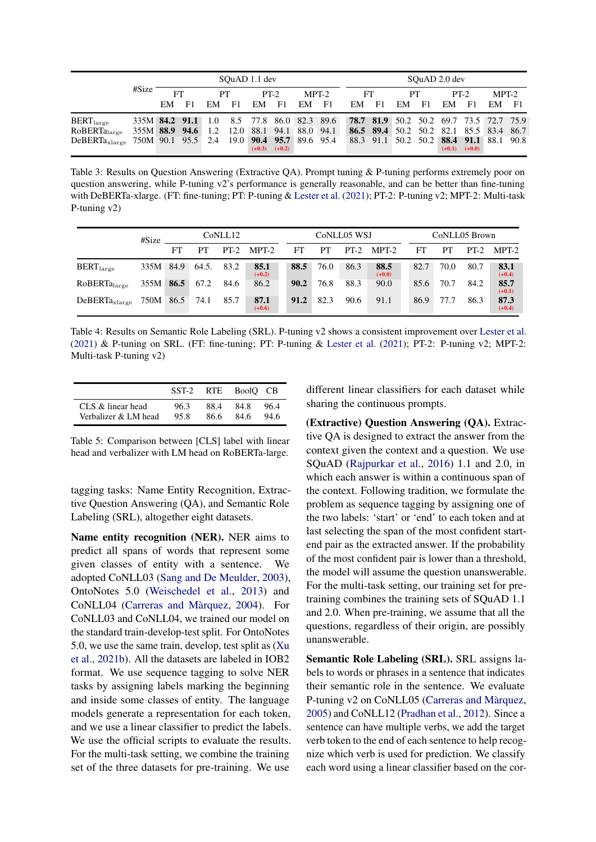<span id="page-5-0"></span>

|                                                                              | #Size                                             | SOuAD 1.1 dev |                |    |    |          |          |       |  |         | SOuAD 2.0 dev |    |    |          |          |                                         |      |  |  |  |
|------------------------------------------------------------------------------|---------------------------------------------------|---------------|----------------|----|----|----------|----------|-------|--|---------|---------------|----|----|----------|----------|-----------------------------------------|------|--|--|--|
|                                                                              |                                                   | FT            |                | PТ |    | $PT-2$   |          | MPT-2 |  | FT      |               | PТ |    | $PT-2$   |          | MPT-2                                   |      |  |  |  |
|                                                                              |                                                   | EM            | F <sub>1</sub> | EM | F1 | EM       | - F1     | EM F1 |  | $EM$ F1 |               | EM | F1 | EM       | - F1     | EM                                      | - F1 |  |  |  |
| $BERT_{large}$                                                               | 335M <b>84.2 91.1</b> 1.0 8.5 77.8 86.0 82.3 89.6 |               |                |    |    |          |          |       |  |         |               |    |    |          |          | 78.7 81.9 50.2 50.2 69.7 73.5 72.7 75.9 |      |  |  |  |
| RoBERTa <sub>large</sub>                                                     | 355M 88.9 94.6 1.2 12.0 88.1 94.1 88.0 94.1       |               |                |    |    |          |          |       |  |         |               |    |    |          |          | 86.5 89.4 50.2 50.2 82.1 85.5 83.4 86.7 |      |  |  |  |
| DeBERTa <sub>xlarge</sub> 750M 90.1 95.5 2.4 19.0 <b>90.4 95.7</b> 89.6 95.4 |                                                   |               |                |    |    | $(+0.3)$ | $(+0.2)$ |       |  |         |               |    |    | $(+0.1)$ | $(+0.0)$ | 88.3 91.1 50.2 50.2 88.4 91.1 88.1 90.8 |      |  |  |  |

Table 3: Results on Question Answering (Extractive QA). Prompt tuning & P-tuning performs extremely poor on question answering, while P-tuning v2's performance is generally reasonable, and can be better than fine-tuning with DeBERTa-xlarge. (FT: fine-tuning; PT: P-tuning & [Lester et al.](#page-8-3) [\(2021\)](#page-8-3); PT-2: P-tuning v2; MPT-2: Multi-task P-tuning v2)

<span id="page-5-1"></span>

|                          | #Size     |    |       | CoNLL12 |                  |      |      | CoNLL05 WSJ |                  | CoNLL05 Brown |      |      |                  |  |
|--------------------------|-----------|----|-------|---------|------------------|------|------|-------------|------------------|---------------|------|------|------------------|--|
|                          |           | FT | PТ    |         | $PT-2$ MPT-2     | FT   | PT.  | $PT-2$      | MPT-2            | FT            | PT   |      | $PT-2$ MPT-2     |  |
| $BERT_{large}$           | 335M 84.9 |    | 64.5. | 83.2    | 85.1<br>$(+0.2)$ | 88.5 | 76.0 | 86.3        | 88.5<br>$(+0.0)$ | 82.7          | 70.0 | 80.7 | 83.1<br>$(+0.4)$ |  |
| RoBERTa <sub>large</sub> | 355M 86.5 |    | 67.2  | 84.6    | 86.2             | 90.2 | 76.8 | 88.3        | 90.0             | 85.6          | 70.7 | 84.2 | 85.7<br>$(+0.1)$ |  |
| $DeBERTa_{xlarge}$       | 750M 86.5 |    | 74.1  | 85.7    | 87.1<br>$(+0.6)$ | 91.2 | 82.3 | 90.6        | 91.1             | 86.9          | 77.7 | 86.3 | 87.3<br>$(+0.4)$ |  |

Table 4: Results on Semantic Role Labeling (SRL). P-tuning v2 shows a consistent improvement over [Lester et al.](#page-8-3) [\(2021\)](#page-8-3) & P-tuning on SRL. (FT: fine-tuning; PT: P-tuning & [Lester et al.](#page-8-3) [\(2021\)](#page-8-3); PT-2: P-tuning v2; MPT-2: Multi-task P-tuning v2)

<span id="page-5-2"></span>

|                      | SST-2 |      | RTE BoolO CB |      |
|----------------------|-------|------|--------------|------|
| CLS & linear head    | 96.3  | 88.4 | 84.8         | 964  |
| Verbalizer & LM head | 95.8  | 86.6 | 84.6         | 94.6 |

Table 5: Comparison between [CLS] label with linear head and verbalizer with LM head on RoBERTa-large.

tagging tasks: Name Entity Recognition, Extractive Question Answering (QA), and Semantic Role Labeling (SRL), altogether eight datasets.

Name entity recognition (NER). NER aims to predict all spans of words that represent some given classes of entity with a sentence. We adopted CoNLL03 [\(Sang and De Meulder,](#page-9-6) [2003\)](#page-9-6), OntoNotes 5.0 [\(Weischedel et al.,](#page-9-7) [2013\)](#page-9-7) and CoNLL04 [\(Carreras and Màrquez,](#page-7-2) [2004\)](#page-7-2). For CoNLL03 and CoNLL04, we trained our model on the standard train-develop-test split. For OntoNotes 5.0, we use the same train, develop, test split as [\(Xu](#page-9-8) [et al.,](#page-9-8) [2021b\)](#page-9-8). All the datasets are labeled in IOB2 format. We use sequence tagging to solve NER tasks by assigning labels marking the beginning and inside some classes of entity. The language models generate a representation for each token, and we use a linear classifier to predict the labels. We use the official scripts to evaluate the results. For the multi-task setting, we combine the training set of the three datasets for pre-training. We use

different linear classifiers for each dataset while sharing the continuous prompts.

(Extractive) Question Answering (QA). Extractive QA is designed to extract the answer from the context given the context and a question. We use SQuAD [\(Rajpurkar et al.,](#page-9-0) [2016\)](#page-9-0) 1.1 and 2.0, in which each answer is within a continuous span of the context. Following tradition, we formulate the problem as sequence tagging by assigning one of the two labels: 'start' or 'end' to each token and at last selecting the span of the most confident startend pair as the extracted answer. If the probability of the most confident pair is lower than a threshold, the model will assume the question unanswerable. For the multi-task setting, our training set for pretraining combines the training sets of SQuAD 1.1 and 2.0. When pre-training, we assume that all the questions, regardless of their origin, are possibly unanswerable.

Semantic Role Labeling (SRL). SRL assigns labels to words or phrases in a sentence that indicates their semantic role in the sentence. We evaluate P-tuning v2 on CoNLL05 [\(Carreras and Màrquez,](#page-7-3) [2005\)](#page-7-3) and CoNLL12 [\(Pradhan et al.,](#page-8-7) [2012\)](#page-8-7). Since a sentence can have multiple verbs, we add the target verb token to the end of each sentence to help recognize which verb is used for prediction. We classify each word using a linear classifier based on the cor-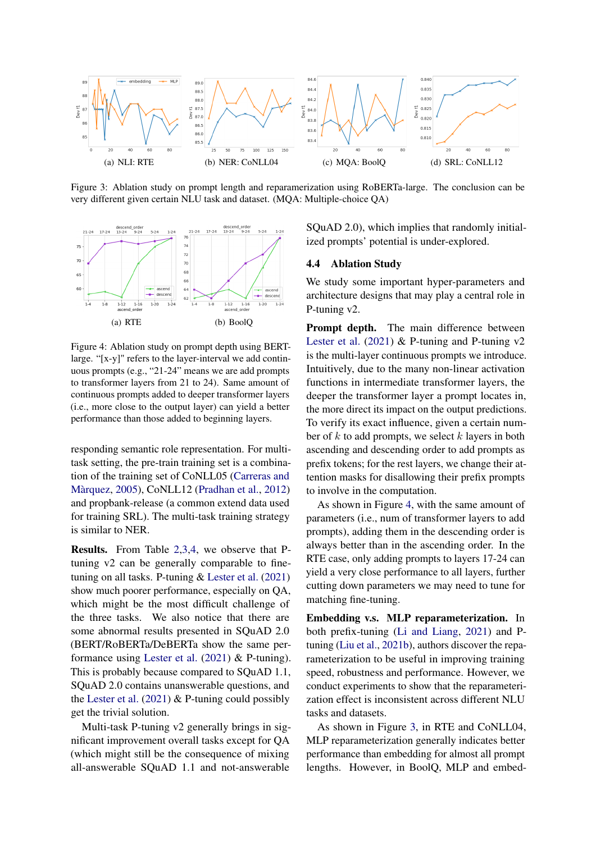<span id="page-6-2"></span>

Figure 3: Ablation study on prompt length and reparamerization using RoBERTa-large. The conclusion can be very different given certain NLU task and dataset. (MQA: Multiple-choice QA)

<span id="page-6-1"></span>

Figure 4: Ablation study on prompt depth using BERTlarge. "[x-y]" refers to the layer-interval we add continuous prompts (e.g., "21-24" means we are add prompts to transformer layers from 21 to 24). Same amount of continuous prompts added to deeper transformer layers (i.e., more close to the output layer) can yield a better performance than those added to beginning layers.

responding semantic role representation. For multitask setting, the pre-train training set is a combination of the training set of CoNLL05 [\(Carreras and](#page-7-3) [Màrquez,](#page-7-3) [2005\)](#page-7-3), CoNLL12 [\(Pradhan et al.,](#page-8-7) [2012\)](#page-8-7) and propbank-release (a common extend data used for training SRL). The multi-task training strategy is similar to NER.

Results. From Table [2](#page-4-1)[,3,](#page-5-0)[4,](#page-5-1) we observe that Ptuning v2 can be generally comparable to finetuning on all tasks. P-tuning & [Lester et al.](#page-8-3) [\(2021\)](#page-8-3) show much poorer performance, especially on QA, which might be the most difficult challenge of the three tasks. We also notice that there are some abnormal results presented in SQuAD 2.0 (BERT/RoBERTa/DeBERTa show the same performance using [Lester et al.](#page-8-3) [\(2021\)](#page-8-3) & P-tuning). This is probably because compared to SQuAD 1.1, SQuAD 2.0 contains unanswerable questions, and the [Lester et al.](#page-8-3)  $(2021)$  & P-tuning could possibly get the trivial solution.

Multi-task P-tuning v2 generally brings in significant improvement overall tasks except for QA (which might still be the consequence of mixing all-answerable SQuAD 1.1 and not-answerable

SQuAD 2.0), which implies that randomly initialized prompts' potential is under-explored.

#### <span id="page-6-0"></span>4.4 Ablation Study

We study some important hyper-parameters and architecture designs that may play a central role in P-tuning v2.

Prompt depth. The main difference between [Lester et al.](#page-8-3)  $(2021)$  & P-tuning and P-tuning v2 is the multi-layer continuous prompts we introduce. Intuitively, due to the many non-linear activation functions in intermediate transformer layers, the deeper the transformer layer a prompt locates in, the more direct its impact on the output predictions. To verify its exact influence, given a certain number of  $k$  to add prompts, we select  $k$  layers in both ascending and descending order to add prompts as prefix tokens; for the rest layers, we change their attention masks for disallowing their prefix prompts to involve in the computation.

As shown in Figure [4,](#page-6-1) with the same amount of parameters (i.e., num of transformer layers to add prompts), adding them in the descending order is always better than in the ascending order. In the RTE case, only adding prompts to layers 17-24 can yield a very close performance to all layers, further cutting down parameters we may need to tune for matching fine-tuning.

Embedding v.s. MLP reparameterization. In both prefix-tuning [\(Li and Liang,](#page-8-0) [2021\)](#page-8-0) and Ptuning [\(Liu et al.,](#page-8-4) [2021b\)](#page-8-4), authors discover the reparameterization to be useful in improving training speed, robustness and performance. However, we conduct experiments to show that the reparameterization effect is inconsistent across different NLU tasks and datasets.

As shown in Figure [3,](#page-6-2) in RTE and CoNLL04, MLP reparameterization generally indicates better performance than embedding for almost all prompt lengths. However, in BoolQ, MLP and embed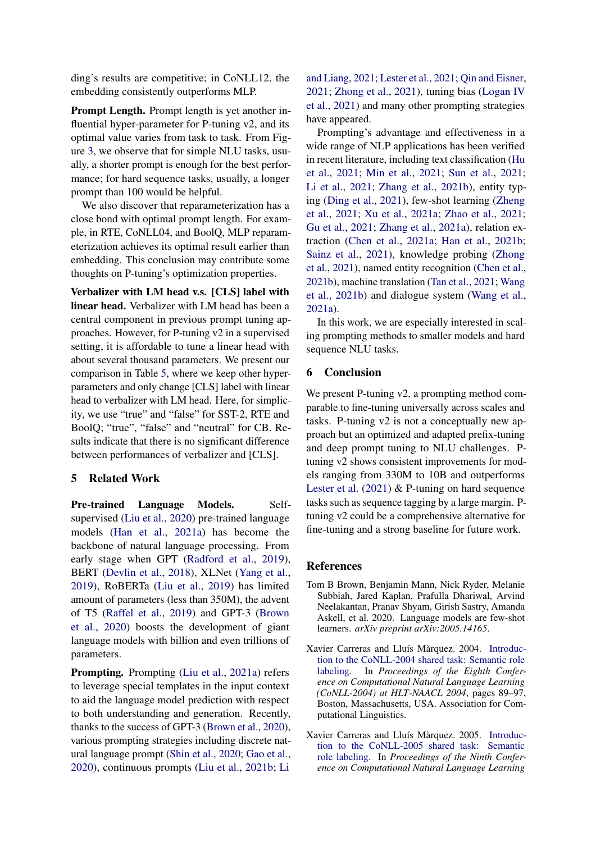ding's results are competitive; in CoNLL12, the embedding consistently outperforms MLP.

Prompt Length. Prompt length is yet another influential hyper-parameter for P-tuning v2, and its optimal value varies from task to task. From Figure [3,](#page-6-2) we observe that for simple NLU tasks, usually, a shorter prompt is enough for the best performance; for hard sequence tasks, usually, a longer prompt than 100 would be helpful.

We also discover that reparameterization has a close bond with optimal prompt length. For example, in RTE, CoNLL04, and BoolQ, MLP reparameterization achieves its optimal result earlier than embedding. This conclusion may contribute some thoughts on P-tuning's optimization properties.

Verbalizer with LM head v.s. [CLS] label with linear head. Verbalizer with LM head has been a central component in previous prompt tuning approaches. However, for P-tuning v2 in a supervised setting, it is affordable to tune a linear head with about several thousand parameters. We present our comparison in Table [5,](#page-5-2) where we keep other hyperparameters and only change [CLS] label with linear head to verbalizer with LM head. Here, for simplicity, we use "true" and "false" for SST-2, RTE and BoolQ; "true", "false" and "neutral" for CB. Results indicate that there is no significant difference between performances of verbalizer and [CLS].

## <span id="page-7-1"></span>5 Related Work

Pre-trained Language Models. Selfsupervised [\(Liu et al.,](#page-8-12) [2020\)](#page-8-12) pre-trained language models [\(Han et al.,](#page-8-1) [2021a\)](#page-8-1) has become the backbone of natural language processing. From early stage when GPT [\(Radford et al.,](#page-9-9) [2019\)](#page-9-9), BERT [\(Devlin et al.,](#page-8-13) [2018\)](#page-8-13), XLNet [\(Yang et al.,](#page-9-10) [2019\)](#page-9-10), RoBERTa [\(Liu et al.,](#page-8-14) [2019\)](#page-8-14) has limited amount of parameters (less than 350M), the advent of T5 [\(Raffel et al.,](#page-9-11) [2019\)](#page-9-11) and GPT-3 [\(Brown](#page-7-0) [et al.,](#page-7-0) [2020\)](#page-7-0) boosts the development of giant language models with billion and even trillions of parameters.

Prompting. Prompting [\(Liu et al.,](#page-8-15) [2021a\)](#page-8-15) refers to leverage special templates in the input context to aid the language model prediction with respect to both understanding and generation. Recently, thanks to the success of GPT-3 [\(Brown et al.,](#page-7-0) [2020\)](#page-7-0), various prompting strategies including discrete natural language prompt [\(Shin et al.,](#page-9-12) [2020;](#page-9-12) [Gao et al.,](#page-8-16) [2020\)](#page-8-16), continuous prompts [\(Liu et al.,](#page-8-4) [2021b;](#page-8-4) [Li](#page-8-0)

[and Liang,](#page-8-0) [2021;](#page-8-0) [Lester et al.,](#page-8-3) [2021;](#page-8-3) [Qin and Eisner,](#page-9-1) [2021;](#page-9-1) [Zhong et al.,](#page-10-0) [2021\)](#page-10-0), tuning bias [\(Logan IV](#page-8-17) [et al.,](#page-8-17) [2021\)](#page-8-17) and many other prompting strategies have appeared.

Prompting's advantage and effectiveness in a wide range of NLP applications has been verified in recent literature, including text classification [\(Hu](#page-8-18) [et al.,](#page-8-18) [2021;](#page-8-18) [Min et al.,](#page-8-19) [2021;](#page-8-19) [Sun et al.,](#page-9-13) [2021;](#page-9-13) [Li et al.,](#page-8-20) [2021;](#page-8-20) [Zhang et al.,](#page-9-14) [2021b\)](#page-9-14), entity typing [\(Ding et al.,](#page-8-21) [2021\)](#page-8-21), few-shot learning [\(Zheng](#page-9-15) [et al.,](#page-9-15) [2021;](#page-9-15) [Xu et al.,](#page-9-16) [2021a;](#page-9-16) [Zhao et al.,](#page-9-17) [2021;](#page-9-17) [Gu et al.,](#page-8-6) [2021;](#page-8-6) [Zhang et al.,](#page-9-18) [2021a\)](#page-9-18), relation extraction [\(Chen et al.,](#page-8-22) [2021a;](#page-8-22) [Han et al.,](#page-8-23) [2021b;](#page-8-23) [Sainz et al.,](#page-9-19) [2021\)](#page-9-19), knowledge probing [\(Zhong](#page-10-0) [et al.,](#page-10-0) [2021\)](#page-10-0), named entity recognition [\(Chen et al.,](#page-8-24) [2021b\)](#page-8-24), machine translation [\(Tan et al.,](#page-9-20) [2021;](#page-9-20) [Wang](#page-9-21) [et al.,](#page-9-21) [2021b\)](#page-9-21) and dialogue system [\(Wang et al.,](#page-9-22) [2021a\)](#page-9-22).

In this work, we are especially interested in scaling prompting methods to smaller models and hard sequence NLU tasks.

## 6 Conclusion

We present P-tuning v2, a prompting method comparable to fine-tuning universally across scales and tasks. P-tuning v2 is not a conceptually new approach but an optimized and adapted prefix-tuning and deep prompt tuning to NLU challenges. Ptuning v2 shows consistent improvements for models ranging from 330M to 10B and outperforms [Lester et al.](#page-8-3)  $(2021)$  & P-tuning on hard sequence tasks such as sequence tagging by a large margin. Ptuning v2 could be a comprehensive alternative for fine-tuning and a strong baseline for future work.

#### References

- <span id="page-7-0"></span>Tom B Brown, Benjamin Mann, Nick Ryder, Melanie Subbiah, Jared Kaplan, Prafulla Dhariwal, Arvind Neelakantan, Pranav Shyam, Girish Sastry, Amanda Askell, et al. 2020. Language models are few-shot learners. *arXiv preprint arXiv:2005.14165*.
- <span id="page-7-2"></span>Xavier Carreras and Lluís Màrquez. 2004. [Introduc](https://aclanthology.org/W04-2412)[tion to the CoNLL-2004 shared task: Semantic role](https://aclanthology.org/W04-2412) [labeling.](https://aclanthology.org/W04-2412) In *Proceedings of the Eighth Conference on Computational Natural Language Learning (CoNLL-2004) at HLT-NAACL 2004*, pages 89–97, Boston, Massachusetts, USA. Association for Computational Linguistics.
- <span id="page-7-3"></span>Xavier Carreras and Lluís Màrquez. 2005. [Introduc](https://aclanthology.org/W05-0620)[tion to the CoNLL-2005 shared task: Semantic](https://aclanthology.org/W05-0620) [role labeling.](https://aclanthology.org/W05-0620) In *Proceedings of the Ninth Conference on Computational Natural Language Learning*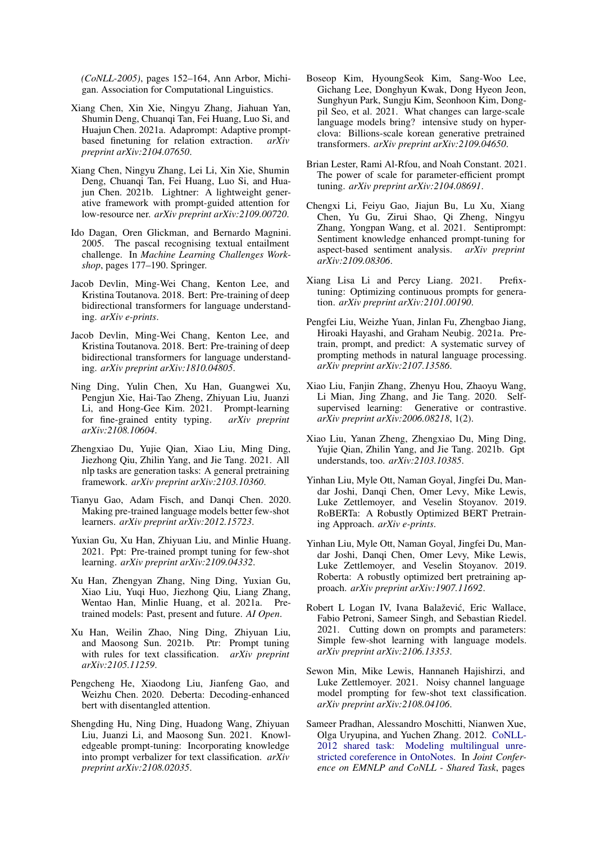*(CoNLL-2005)*, pages 152–164, Ann Arbor, Michigan. Association for Computational Linguistics.

- <span id="page-8-22"></span>Xiang Chen, Xin Xie, Ningyu Zhang, Jiahuan Yan, Shumin Deng, Chuanqi Tan, Fei Huang, Luo Si, and Huajun Chen. 2021a. Adaprompt: Adaptive promptbased finetuning for relation extraction. *arXiv preprint arXiv:2104.07650*.
- <span id="page-8-24"></span>Xiang Chen, Ningyu Zhang, Lei Li, Xin Xie, Shumin Deng, Chuanqi Tan, Fei Huang, Luo Si, and Huajun Chen. 2021b. Lightner: A lightweight generative framework with prompt-guided attention for low-resource ner. *arXiv preprint arXiv:2109.00720*.
- <span id="page-8-2"></span>Ido Dagan, Oren Glickman, and Bernardo Magnini. 2005. The pascal recognising textual entailment challenge. In *Machine Learning Challenges Workshop*, pages 177–190. Springer.
- <span id="page-8-8"></span>Jacob Devlin, Ming-Wei Chang, Kenton Lee, and Kristina Toutanova. 2018. Bert: Pre-training of deep bidirectional transformers for language understanding. *arXiv e-prints*.
- <span id="page-8-13"></span>Jacob Devlin, Ming-Wei Chang, Kenton Lee, and Kristina Toutanova. 2018. Bert: Pre-training of deep bidirectional transformers for language understanding. *arXiv preprint arXiv:1810.04805*.
- <span id="page-8-21"></span>Ning Ding, Yulin Chen, Xu Han, Guangwei Xu, Pengjun Xie, Hai-Tao Zheng, Zhiyuan Liu, Juanzi Li, and Hong-Gee Kim. 2021. Prompt-learning for fine-grained entity typing. *arXiv preprint arXiv:2108.10604*.
- <span id="page-8-11"></span>Zhengxiao Du, Yujie Qian, Xiao Liu, Ming Ding, Jiezhong Qiu, Zhilin Yang, and Jie Tang. 2021. All nlp tasks are generation tasks: A general pretraining framework. *arXiv preprint arXiv:2103.10360*.
- <span id="page-8-16"></span>Tianyu Gao, Adam Fisch, and Danqi Chen. 2020. Making pre-trained language models better few-shot learners. *arXiv preprint arXiv:2012.15723*.
- <span id="page-8-6"></span>Yuxian Gu, Xu Han, Zhiyuan Liu, and Minlie Huang. 2021. Ppt: Pre-trained prompt tuning for few-shot learning. *arXiv preprint arXiv:2109.04332*.
- <span id="page-8-1"></span>Xu Han, Zhengyan Zhang, Ning Ding, Yuxian Gu, Xiao Liu, Yuqi Huo, Jiezhong Qiu, Liang Zhang, Wentao Han, Minlie Huang, et al. 2021a. Pretrained models: Past, present and future. *AI Open*.
- <span id="page-8-23"></span>Xu Han, Weilin Zhao, Ning Ding, Zhiyuan Liu, and Maosong Sun. 2021b. Ptr: Prompt tuning with rules for text classification. *arXiv preprint arXiv:2105.11259*.
- <span id="page-8-10"></span>Pengcheng He, Xiaodong Liu, Jianfeng Gao, and Weizhu Chen. 2020. Deberta: Decoding-enhanced bert with disentangled attention.
- <span id="page-8-18"></span>Shengding Hu, Ning Ding, Huadong Wang, Zhiyuan Liu, Juanzi Li, and Maosong Sun. 2021. Knowledgeable prompt-tuning: Incorporating knowledge into prompt verbalizer for text classification. *arXiv preprint arXiv:2108.02035*.
- <span id="page-8-5"></span>Boseop Kim, HyoungSeok Kim, Sang-Woo Lee, Gichang Lee, Donghyun Kwak, Dong Hyeon Jeon, Sunghyun Park, Sungju Kim, Seonhoon Kim, Dongpil Seo, et al. 2021. What changes can large-scale language models bring? intensive study on hyperclova: Billions-scale korean generative pretrained transformers. *arXiv preprint arXiv:2109.04650*.
- <span id="page-8-3"></span>Brian Lester, Rami Al-Rfou, and Noah Constant. 2021. The power of scale for parameter-efficient prompt tuning. *arXiv preprint arXiv:2104.08691*.
- <span id="page-8-20"></span>Chengxi Li, Feiyu Gao, Jiajun Bu, Lu Xu, Xiang Chen, Yu Gu, Zirui Shao, Qi Zheng, Ningyu Zhang, Yongpan Wang, et al. 2021. Sentiprompt: Sentiment knowledge enhanced prompt-tuning for aspect-based sentiment analysis. *arXiv preprint arXiv:2109.08306*.
- <span id="page-8-0"></span>Xiang Lisa Li and Percy Liang. 2021. Prefixtuning: Optimizing continuous prompts for generation. *arXiv preprint arXiv:2101.00190*.
- <span id="page-8-15"></span>Pengfei Liu, Weizhe Yuan, Jinlan Fu, Zhengbao Jiang, Hiroaki Hayashi, and Graham Neubig. 2021a. Pretrain, prompt, and predict: A systematic survey of prompting methods in natural language processing. *arXiv preprint arXiv:2107.13586*.
- <span id="page-8-12"></span>Xiao Liu, Fanjin Zhang, Zhenyu Hou, Zhaoyu Wang, Li Mian, Jing Zhang, and Jie Tang. 2020. Selfsupervised learning: Generative or contrastive. *arXiv preprint arXiv:2006.08218*, 1(2).
- <span id="page-8-4"></span>Xiao Liu, Yanan Zheng, Zhengxiao Du, Ming Ding, Yujie Qian, Zhilin Yang, and Jie Tang. 2021b. Gpt understands, too. *arXiv:2103.10385*.
- <span id="page-8-9"></span>Yinhan Liu, Myle Ott, Naman Goyal, Jingfei Du, Mandar Joshi, Danqi Chen, Omer Levy, Mike Lewis, Luke Zettlemoyer, and Veselin Stoyanov. 2019. RoBERTa: A Robustly Optimized BERT Pretraining Approach. *arXiv e-prints*.
- <span id="page-8-14"></span>Yinhan Liu, Myle Ott, Naman Goyal, Jingfei Du, Mandar Joshi, Danqi Chen, Omer Levy, Mike Lewis, Luke Zettlemoyer, and Veselin Stoyanov. 2019. Roberta: A robustly optimized bert pretraining approach. *arXiv preprint arXiv:1907.11692*.
- <span id="page-8-17"></span>Robert L Logan IV, Ivana Balaževic, Eric Wallace, ´ Fabio Petroni, Sameer Singh, and Sebastian Riedel. 2021. Cutting down on prompts and parameters: Simple few-shot learning with language models. *arXiv preprint arXiv:2106.13353*.
- <span id="page-8-19"></span>Sewon Min, Mike Lewis, Hannaneh Hajishirzi, and Luke Zettlemoyer. 2021. Noisy channel language model prompting for few-shot text classification. *arXiv preprint arXiv:2108.04106*.
- <span id="page-8-7"></span>Sameer Pradhan, Alessandro Moschitti, Nianwen Xue, Olga Uryupina, and Yuchen Zhang. 2012. [CoNLL-](https://aclanthology.org/W12-4501)[2012 shared task: Modeling multilingual unre](https://aclanthology.org/W12-4501)[stricted coreference in OntoNotes.](https://aclanthology.org/W12-4501) In *Joint Conference on EMNLP and CoNLL - Shared Task*, pages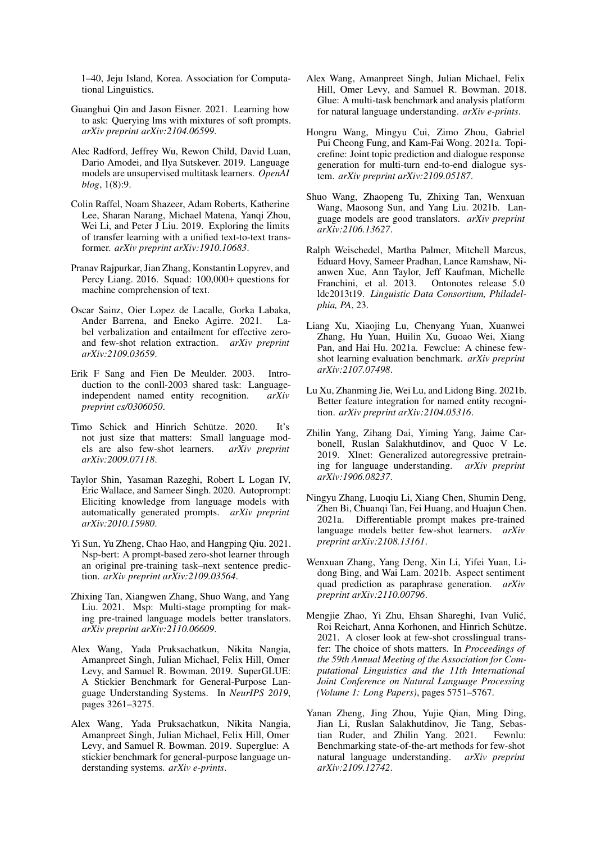1–40, Jeju Island, Korea. Association for Computational Linguistics.

- <span id="page-9-1"></span>Guanghui Qin and Jason Eisner. 2021. Learning how to ask: Querying lms with mixtures of soft prompts. *arXiv preprint arXiv:2104.06599*.
- <span id="page-9-9"></span>Alec Radford, Jeffrey Wu, Rewon Child, David Luan, Dario Amodei, and Ilya Sutskever. 2019. Language models are unsupervised multitask learners. *OpenAI blog*, 1(8):9.
- <span id="page-9-11"></span>Colin Raffel, Noam Shazeer, Adam Roberts, Katherine Lee, Sharan Narang, Michael Matena, Yanqi Zhou, Wei Li, and Peter J Liu. 2019. Exploring the limits of transfer learning with a unified text-to-text transformer. *arXiv preprint arXiv:1910.10683*.
- <span id="page-9-0"></span>Pranav Rajpurkar, Jian Zhang, Konstantin Lopyrev, and Percy Liang. 2016. Squad: 100,000+ questions for machine comprehension of text.
- <span id="page-9-19"></span>Oscar Sainz, Oier Lopez de Lacalle, Gorka Labaka, Ander Barrena, and Eneko Agirre. 2021. Label verbalization and entailment for effective zeroand few-shot relation extraction. *arXiv preprint arXiv:2109.03659*.
- <span id="page-9-6"></span>Erik F Sang and Fien De Meulder. 2003. Introduction to the conll-2003 shared task: Languageindependent named entity recognition. *arXiv preprint cs/0306050*.
- <span id="page-9-4"></span>Timo Schick and Hinrich Schütze. 2020. It's not just size that matters: Small language models are also few-shot learners. *arXiv preprint arXiv:2009.07118*.
- <span id="page-9-12"></span>Taylor Shin, Yasaman Razeghi, Robert L Logan IV, Eric Wallace, and Sameer Singh. 2020. Autoprompt: Eliciting knowledge from language models with automatically generated prompts. *arXiv preprint arXiv:2010.15980*.
- <span id="page-9-13"></span>Yi Sun, Yu Zheng, Chao Hao, and Hangping Qiu. 2021. Nsp-bert: A prompt-based zero-shot learner through an original pre-training task–next sentence prediction. *arXiv preprint arXiv:2109.03564*.
- <span id="page-9-20"></span>Zhixing Tan, Xiangwen Zhang, Shuo Wang, and Yang Liu. 2021. Msp: Multi-stage prompting for making pre-trained language models better translators. *arXiv preprint arXiv:2110.06609*.
- <span id="page-9-3"></span>Alex Wang, Yada Pruksachatkun, Nikita Nangia, Amanpreet Singh, Julian Michael, Felix Hill, Omer Levy, and Samuel R. Bowman. 2019. SuperGLUE: A Stickier Benchmark for General-Purpose Language Understanding Systems. In *NeurIPS 2019*, pages 3261–3275.
- <span id="page-9-5"></span>Alex Wang, Yada Pruksachatkun, Nikita Nangia, Amanpreet Singh, Julian Michael, Felix Hill, Omer Levy, and Samuel R. Bowman. 2019. Superglue: A stickier benchmark for general-purpose language understanding systems. *arXiv e-prints*.
- <span id="page-9-2"></span>Alex Wang, Amanpreet Singh, Julian Michael, Felix Hill, Omer Levy, and Samuel R. Bowman. 2018. Glue: A multi-task benchmark and analysis platform for natural language understanding. *arXiv e-prints*.
- <span id="page-9-22"></span>Hongru Wang, Mingyu Cui, Zimo Zhou, Gabriel Pui Cheong Fung, and Kam-Fai Wong. 2021a. Topicrefine: Joint topic prediction and dialogue response generation for multi-turn end-to-end dialogue system. *arXiv preprint arXiv:2109.05187*.
- <span id="page-9-21"></span>Shuo Wang, Zhaopeng Tu, Zhixing Tan, Wenxuan Wang, Maosong Sun, and Yang Liu. 2021b. Language models are good translators. *arXiv preprint arXiv:2106.13627*.
- <span id="page-9-7"></span>Ralph Weischedel, Martha Palmer, Mitchell Marcus, Eduard Hovy, Sameer Pradhan, Lance Ramshaw, Nianwen Xue, Ann Taylor, Jeff Kaufman, Michelle Franchini, et al. 2013. Ontonotes release 5.0 ldc2013t19. *Linguistic Data Consortium, Philadelphia, PA*, 23.
- <span id="page-9-16"></span>Liang Xu, Xiaojing Lu, Chenyang Yuan, Xuanwei Zhang, Hu Yuan, Huilin Xu, Guoao Wei, Xiang Pan, and Hai Hu. 2021a. Fewclue: A chinese fewshot learning evaluation benchmark. *arXiv preprint arXiv:2107.07498*.
- <span id="page-9-8"></span>Lu Xu, Zhanming Jie, Wei Lu, and Lidong Bing. 2021b. Better feature integration for named entity recognition. *arXiv preprint arXiv:2104.05316*.
- <span id="page-9-10"></span>Zhilin Yang, Zihang Dai, Yiming Yang, Jaime Carbonell, Ruslan Salakhutdinov, and Quoc V Le. 2019. Xlnet: Generalized autoregressive pretraining for language understanding. *arXiv preprint arXiv:1906.08237*.
- <span id="page-9-18"></span>Ningyu Zhang, Luoqiu Li, Xiang Chen, Shumin Deng, Zhen Bi, Chuanqi Tan, Fei Huang, and Huajun Chen. 2021a. Differentiable prompt makes pre-trained language models better few-shot learners. *arXiv preprint arXiv:2108.13161*.
- <span id="page-9-14"></span>Wenxuan Zhang, Yang Deng, Xin Li, Yifei Yuan, Lidong Bing, and Wai Lam. 2021b. Aspect sentiment quad prediction as paraphrase generation. *arXiv preprint arXiv:2110.00796*.
- <span id="page-9-17"></span>Mengjie Zhao, Yi Zhu, Ehsan Shareghi, Ivan Vulic,´ Roi Reichart, Anna Korhonen, and Hinrich Schütze. 2021. A closer look at few-shot crosslingual transfer: The choice of shots matters. In *Proceedings of the 59th Annual Meeting of the Association for Computational Linguistics and the 11th International Joint Conference on Natural Language Processing (Volume 1: Long Papers)*, pages 5751–5767.
- <span id="page-9-15"></span>Yanan Zheng, Jing Zhou, Yujie Qian, Ming Ding, Jian Li, Ruslan Salakhutdinov, Jie Tang, Sebastian Ruder, and Zhilin Yang. 2021. Fewnlu: Benchmarking state-of-the-art methods for few-shot natural language understanding. *arXiv preprint arXiv:2109.12742*.